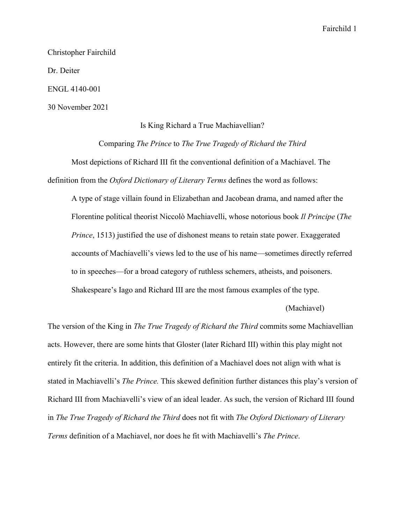Christopher Fairchild

Dr. Deiter

ENGL 4140-001

30 November 2021

## Is King Richard a True Machiavellian?

Comparing *The Prince* to *The True Tragedy of Richard the Third*

Most depictions of Richard III fit the conventional definition of a Machiavel. The definition from the *Oxford Dictionary of Literary Terms* defines the word as follows:

A type of stage villain found in Elizabethan and Jacobean drama, and named after the Florentine political theorist Niccolò Machiavelli, whose notorious book *Il Principe* (*The Prince*, 1513) justified the use of dishonest means to retain state power. Exaggerated accounts of Machiavelli's views led to the use of his name—sometimes directly referred to in speeches—for a broad category of ruthless schemers, atheists, and poisoners. Shakespeare's Iago and Richard III are the most famous examples of the type.

(Machiavel)

The version of the King in *The True Tragedy of Richard the Third* commits some Machiavellian acts. However, there are some hints that Gloster (later Richard III) within this play might not entirely fit the criteria. In addition, this definition of a Machiavel does not align with what is stated in Machiavelli's *The Prince.* This skewed definition further distances this play's version of Richard III from Machiavelli's view of an ideal leader. As such, the version of Richard III found in *The True Tragedy of Richard the Third* does not fit with *The Oxford Dictionary of Literary Terms* definition of a Machiavel, nor does he fit with Machiavelli's *The Prince*.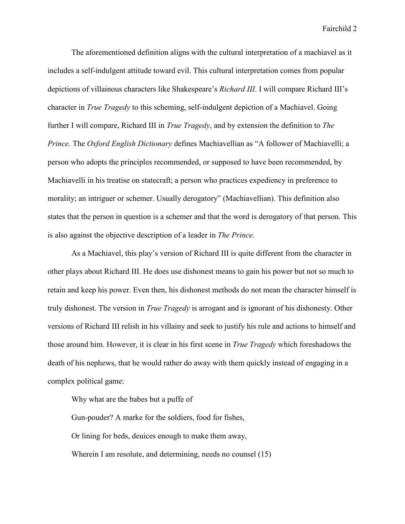The aforementioned definition aligns with the cultural interpretation of a machiavel as it includes a self-indulgent attitude toward evil. This cultural interpretation comes from popular depictions of villainous characters like Shakespeare's *Richard III*. I will compare Richard III's character in *True Tragedy* to this scheming, self-indulgent depiction of a Machiavel. Going further I will compare, Richard III in *True Tragedy*, and by extension the definition to *The Prince*. The *Oxford English Dictionary* defines Machiavellian as "A follower of Machiavelli; a person who adopts the principles recommended, or supposed to have been recommended, by Machiavelli in his treatise on statecraft; a person who practices expediency in preference to morality; an intriguer or schemer. Usually derogatory" (Machiavellian). This definition also states that the person in question is a schemer and that the word is derogatory of that person. This is also against the objective description of a leader in *The Prince*.

As a Machiavel, this play's version of Richard III is quite different from the character in other plays about Richard III. He does use dishonest means to gain his power but not so much to retain and keep his power. Even then, his dishonest methods do not mean the character himself is truly dishonest. The version in *True Tragedy* is arrogant and is ignorant of his dishonesty. Other versions of Richard III relish in his villainy and seek to justify his rule and actions to himself and those around him. However, it is clear in his first scene in *True Tragedy* which foreshadows the death of his nephews, that he would rather do away with them quickly instead of engaging in a complex political game:

Why what are the babes but a puffe of Gun-pouder? A marke for the soldiers, food for fishes, Or lining for beds, deuices enough to make them away, Wherein I am resolute, and determining, needs no counsel (15)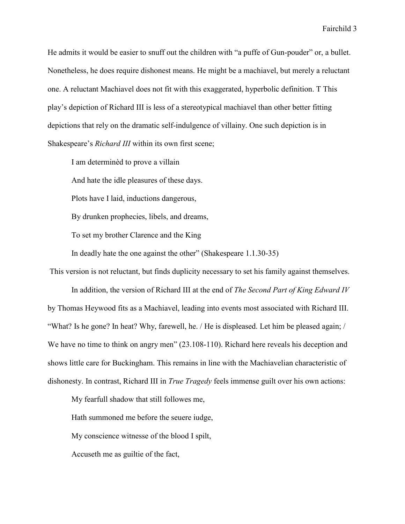He admits it would be easier to snuff out the children with "a puffe of Gun-pouder" or, a bullet. Nonetheless, he does require dishonest means. He might be a machiavel, but merely a reluctant one. A reluctant Machiavel does not fit with this exaggerated, hyperbolic definition. T This play's depiction of Richard III is less of a stereotypical machiavel than other better fitting depictions that rely on the dramatic self-indulgence of villainy. One such depiction is in Shakespeare's *Richard III* within its own first scene;

I am determinèd to prove a villain And hate the idle pleasures of these days. Plots have I laid, inductions dangerous, By drunken prophecies, libels, and dreams, To set my brother Clarence and the King In deadly hate the one against the other" (Shakespeare 1.1.30-35)

This version is not reluctant, but finds duplicity necessary to set his family against themselves.

In addition, the version of Richard III at the end of *The Second Part of King Edward IV*  by Thomas Heywood fits as a Machiavel, leading into events most associated with Richard III. "What? Is he gone? In heat? Why, farewell, he. / He is displeased. Let him be pleased again; / We have no time to think on angry men"  $(23.108-110)$ . Richard here reveals his deception and shows little care for Buckingham. This remains in line with the Machiavelian characteristic of dishonesty. In contrast, Richard III in *True Tragedy* feels immense guilt over his own actions:

My fearfull shadow that still followes me,

Hath summoned me before the seuere iudge,

My conscience witnesse of the blood I spilt,

Accuseth me as guiltie of the fact,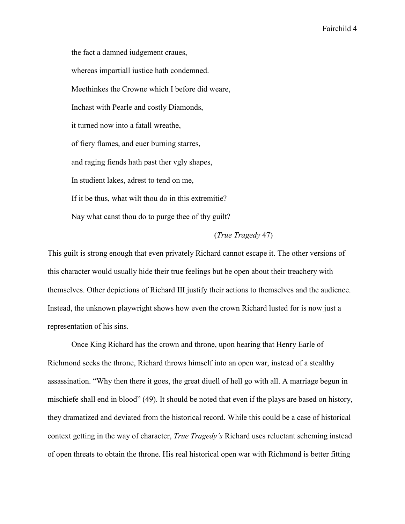the fact a damned iudgement craues, whereas impartiall iustice hath condemned. Meethinkes the Crowne which I before did weare, Inchast with Pearle and costly Diamonds, it turned now into a fatall wreathe, of fiery flames, and euer burning starres, and raging fiends hath past ther vgly shapes, In studient lakes, adrest to tend on me, If it be thus, what wilt thou do in this extremitie? Nay what canst thou do to purge thee of thy guilt?

## (*True Tragedy* 47)

This guilt is strong enough that even privately Richard cannot escape it. The other versions of this character would usually hide their true feelings but be open about their treachery with themselves. Other depictions of Richard III justify their actions to themselves and the audience. Instead, the unknown playwright shows how even the crown Richard lusted for is now just a representation of his sins.

Once King Richard has the crown and throne, upon hearing that Henry Earle of Richmond seeks the throne, Richard throws himself into an open war, instead of a stealthy assassination. "Why then there it goes, the great diuell of hell go with all. A marriage begun in mischiefe shall end in blood" (49). It should be noted that even if the plays are based on history, they dramatized and deviated from the historical record. While this could be a case of historical context getting in the way of character, *True Tragedy's* Richard uses reluctant scheming instead of open threats to obtain the throne. His real historical open war with Richmond is better fitting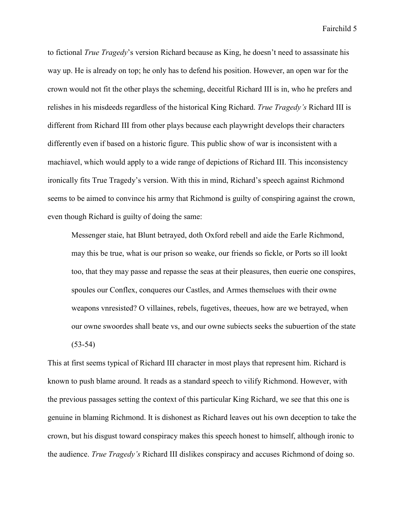to fictional *True Tragedy*'s version Richard because as King, he doesn't need to assassinate his way up. He is already on top; he only has to defend his position. However, an open war for the crown would not fit the other plays the scheming, deceitful Richard III is in, who he prefers and relishes in his misdeeds regardless of the historical King Richard. *True Tragedy's* Richard III is different from Richard III from other plays because each playwright develops their characters differently even if based on a historic figure. This public show of war is inconsistent with a machiavel, which would apply to a wide range of depictions of Richard III. This inconsistency ironically fits True Tragedy's version. With this in mind, Richard's speech against Richmond seems to be aimed to convince his army that Richmond is guilty of conspiring against the crown, even though Richard is guilty of doing the same:

Messenger staie, hat Blunt betrayed, doth Oxford rebell and aide the Earle Richmond, may this be true, what is our prison so weake, our friends so fickle, or Ports so ill lookt too, that they may passe and repasse the seas at their pleasures, then euerie one conspires, spoules our Conflex, conqueres our Castles, and Armes themselues with their owne weapons vnresisted? O villaines, rebels, fugetives, theeues, how are we betrayed, when our owne swoordes shall beate vs, and our owne subiects seeks the subuertion of the state (53-54)

This at first seems typical of Richard III character in most plays that represent him. Richard is known to push blame around. It reads as a standard speech to vilify Richmond. However, with the previous passages setting the context of this particular King Richard, we see that this one is genuine in blaming Richmond. It is dishonest as Richard leaves out his own deception to take the crown, but his disgust toward conspiracy makes this speech honest to himself, although ironic to the audience. *True Tragedy's* Richard III dislikes conspiracy and accuses Richmond of doing so.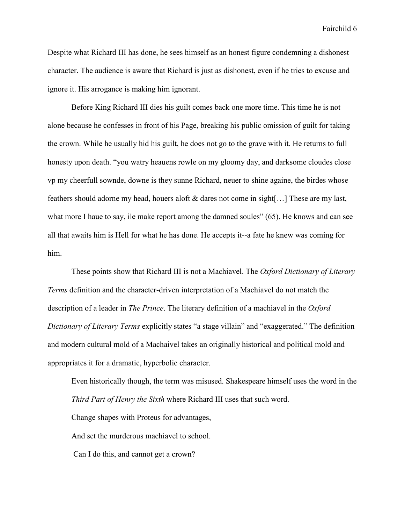Despite what Richard III has done, he sees himself as an honest figure condemning a dishonest character. The audience is aware that Richard is just as dishonest, even if he tries to excuse and ignore it. His arrogance is making him ignorant.

Before King Richard III dies his guilt comes back one more time. This time he is not alone because he confesses in front of his Page, breaking his public omission of guilt for taking the crown. While he usually hid his guilt, he does not go to the grave with it. He returns to full honesty upon death. "you watry heauens rowle on my gloomy day, and darksome cloudes close vp my cheerfull sownde, downe is they sunne Richard, neuer to shine againe, the birdes whose feathers should adorne my head, houers aloft & dares not come in sight[…] These are my last, what more I haue to say, ile make report among the damned soules" (65). He knows and can see all that awaits him is Hell for what he has done. He accepts it--a fate he knew was coming for him.

These points show that Richard III is not a Machiavel. The *Oxford Dictionary of Literary Terms* definition and the character-driven interpretation of a Machiavel do not match the description of a leader in *The Prince*. The literary definition of a machiavel in the *Oxford Dictionary of Literary Terms* explicitly states "a stage villain" and "exaggerated." The definition and modern cultural mold of a Machaivel takes an originally historical and political mold and appropriates it for a dramatic, hyperbolic character.

Even historically though, the term was misused. Shakespeare himself uses the word in the *Third Part of Henry the Sixth* where Richard III uses that such word. Change shapes with Proteus for advantages, And set the murderous machiavel to school. Can I do this, and cannot get a crown?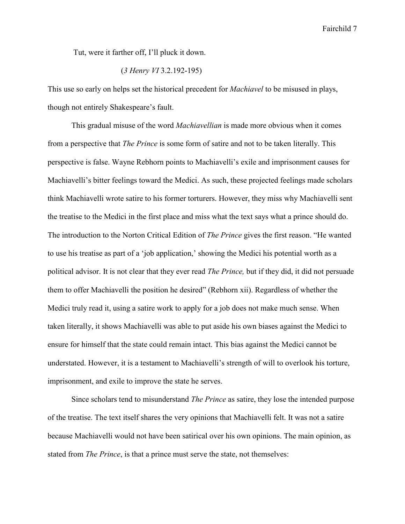Tut, were it farther off, I'll pluck it down.

# (*3 Henry VI* 3.2.192-195)

This use so early on helps set the historical precedent for *Machiavel* to be misused in plays, though not entirely Shakespeare's fault.

This gradual misuse of the word *Machiavellian* is made more obvious when it comes from a perspective that *The Prince* is some form of satire and not to be taken literally. This perspective is false. Wayne Rebhorn points to Machiavelli's exile and imprisonment causes for Machiavelli's bitter feelings toward the Medici. As such, these projected feelings made scholars think Machiavelli wrote satire to his former torturers. However, they miss why Machiavelli sent the treatise to the Medici in the first place and miss what the text says what a prince should do. The introduction to the Norton Critical Edition of *The Prince* gives the first reason. "He wanted to use his treatise as part of a 'job application,' showing the Medici his potential worth as a political advisor. It is not clear that they ever read *The Prince,* but if they did, it did not persuade them to offer Machiavelli the position he desired" (Rebhorn xii). Regardless of whether the Medici truly read it, using a satire work to apply for a job does not make much sense. When taken literally, it shows Machiavelli was able to put aside his own biases against the Medici to ensure for himself that the state could remain intact. This bias against the Medici cannot be understated. However, it is a testament to Machiavelli's strength of will to overlook his torture, imprisonment, and exile to improve the state he serves.

Since scholars tend to misunderstand *The Prince* as satire, they lose the intended purpose of the treatise. The text itself shares the very opinions that Machiavelli felt. It was not a satire because Machiavelli would not have been satirical over his own opinions. The main opinion, as stated from *The Prince*, is that a prince must serve the state, not themselves: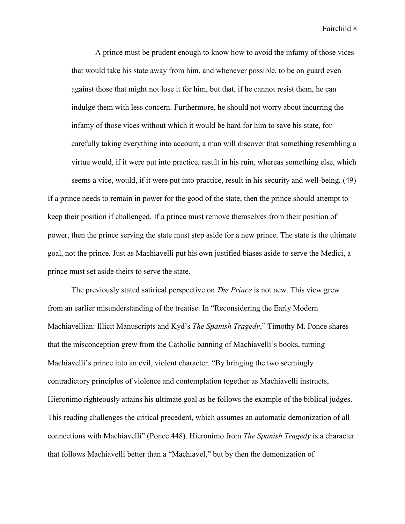A prince must be prudent enough to know how to avoid the infamy of those vices that would take his state away from him, and whenever possible, to be on guard even against those that might not lose it for him, but that, if he cannot resist them, he can indulge them with less concern. Furthermore, he should not worry about incurring the infamy of those vices without which it would be hard for him to save his state, for carefully taking everything into account, a man will discover that something resembling a virtue would, if it were put into practice, result in his ruin, whereas something else, which seems a vice, would, if it were put into practice, result in his security and well-being. (49) If a prince needs to remain in power for the good of the state, then the prince should attempt to keep their position if challenged. If a prince must remove themselves from their position of

power, then the prince serving the state must step aside for a new prince. The state is the ultimate goal, not the prince. Just as Machiavelli put his own justified biases aside to serve the Medici, a prince must set aside theirs to serve the state.

The previously stated satirical perspective on *The Prince* is not new. This view grew from an earlier misunderstanding of the treatise. In "Reconsidering the Early Modern Machiavellian: Illicit Manuscripts and Kyd's *The Spanish Tragedy*," Timothy M. Ponce shares that the misconception grew from the Catholic banning of Machiavelli's books, turning Machiavelli's prince into an evil, violent character. "By bringing the two seemingly contradictory principles of violence and contemplation together as Machiavelli instructs, Hieronimo righteously attains his ultimate goal as he follows the example of the biblical judges. This reading challenges the critical precedent, which assumes an automatic demonization of all connections with Machiavelli" (Ponce 448). Hieronimo from *The Spanish Tragedy* is a character that follows Machiavelli better than a "Machiavel," but by then the demonization of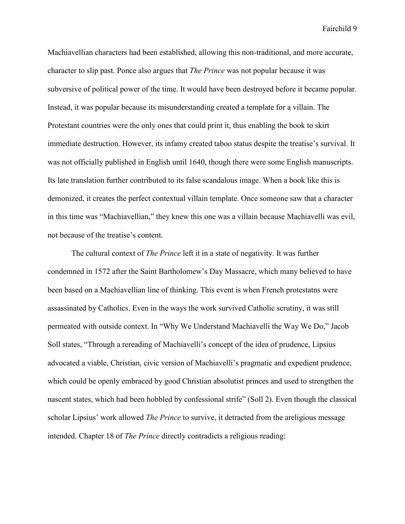Machiavellian characters had been established, allowing this non-traditional, and more accurate, character to slip past. Ponce also argues that *The Prince* was not popular because it was subversive of political power of the time. It would have been destroyed before it became popular. Instead, it was popular because its misunderstanding created a template for a villain. The Protestant countries were the only ones that could print it, thus enabling the book to skirt immediate destruction. However, its infamy created taboo status despite the treatise's survival. It was not officially published in English until 1640, though there were some English manuscripts. Its late translation further contributed to its false scandalous image. When a book like this is demonized, it creates the perfect contextual villain template. Once someone saw that a character in this time was "Machiavellian," they knew this one was a villain because Machiavelli was evil, not because of the treatise's content.

The cultural context of *The Prince* left it in a state of negativity. It was further condemned in 1572 after the Saint Bartholomew's Day Massacre, which many believed to have been based on a Machiavellian line of thinking. This event is when French protestatns were assassinated by Catholics. Even in the ways the work survived Catholic scrutiny, it was still permeated with outside context. In "Why We Understand Machiavelli the Way We Do," Jacob Soll states, "Through a rereading of Machiavelli's concept of the idea of prudence, Lipsius advocated a viable, Christian, civic version of Machiavelli's pragmatic and expedient prudence, which could be openly embraced by good Christian absolutist princes and used to strengthen the nascent states, which had been hobbled by confessional strife" (Soll 2). Even though the classical scholar Lipsius' work allowed *The Prince* to survive, it detracted from the areligious message intended. Chapter 18 of *The Prince* directly contradicts a religious reading: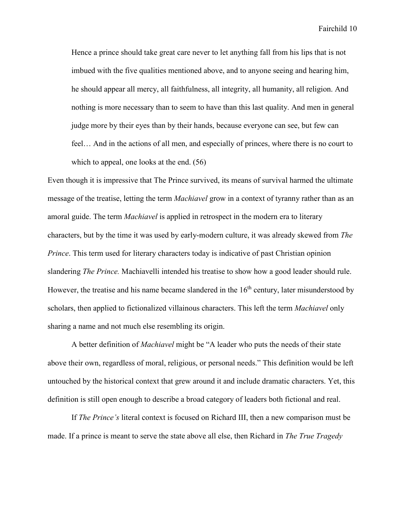Hence a prince should take great care never to let anything fall from his lips that is not imbued with the five qualities mentioned above, and to anyone seeing and hearing him, he should appear all mercy, all faithfulness, all integrity, all humanity, all religion. And nothing is more necessary than to seem to have than this last quality. And men in general judge more by their eyes than by their hands, because everyone can see, but few can feel… And in the actions of all men, and especially of princes, where there is no court to which to appeal, one looks at the end.  $(56)$ 

Even though it is impressive that The Prince survived, its means of survival harmed the ultimate message of the treatise, letting the term *Machiavel* grow in a context of tyranny rather than as an amoral guide. The term *Machiavel* is applied in retrospect in the modern era to literary characters, but by the time it was used by early-modern culture, it was already skewed from *The Prince*. This term used for literary characters today is indicative of past Christian opinion slandering *The Prince.* Machiavelli intended his treatise to show how a good leader should rule. However, the treatise and his name became slandered in the  $16<sup>th</sup>$  century, later misunderstood by scholars, then applied to fictionalized villainous characters. This left the term *Machiavel* only sharing a name and not much else resembling its origin.

A better definition of *Machiavel* might be "A leader who puts the needs of their state above their own, regardless of moral, religious, or personal needs." This definition would be left untouched by the historical context that grew around it and include dramatic characters. Yet, this definition is still open enough to describe a broad category of leaders both fictional and real.

If *The Prince's* literal context is focused on Richard III, then a new comparison must be made. If a prince is meant to serve the state above all else, then Richard in *The True Tragedy*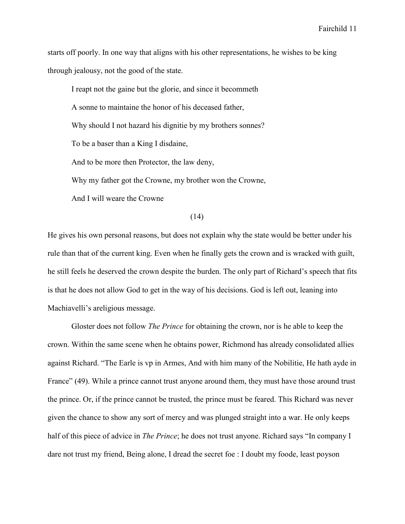starts off poorly. In one way that aligns with his other representations, he wishes to be king through jealousy, not the good of the state.

I reapt not the gaine but the glorie, and since it becommeth A sonne to maintaine the honor of his deceased father, Why should I not hazard his dignitie by my brothers sonnes? To be a baser than a King I disdaine, And to be more then Protector, the law deny, Why my father got the Crowne, my brother won the Crowne,

And I will weare the Crowne

(14)

He gives his own personal reasons, but does not explain why the state would be better under his rule than that of the current king. Even when he finally gets the crown and is wracked with guilt, he still feels he deserved the crown despite the burden. The only part of Richard's speech that fits is that he does not allow God to get in the way of his decisions. God is left out, leaning into Machiavelli's areligious message.

Gloster does not follow *The Prince* for obtaining the crown, nor is he able to keep the crown. Within the same scene when he obtains power, Richmond has already consolidated allies against Richard. "The Earle is vp in Armes, And with him many of the Nobilitie, He hath ayde in France" (49). While a prince cannot trust anyone around them, they must have those around trust the prince. Or, if the prince cannot be trusted, the prince must be feared. This Richard was never given the chance to show any sort of mercy and was plunged straight into a war. He only keeps half of this piece of advice in *The Prince*; he does not trust anyone. Richard says "In company I dare not trust my friend, Being alone, I dread the secret foe : I doubt my foode, least poyson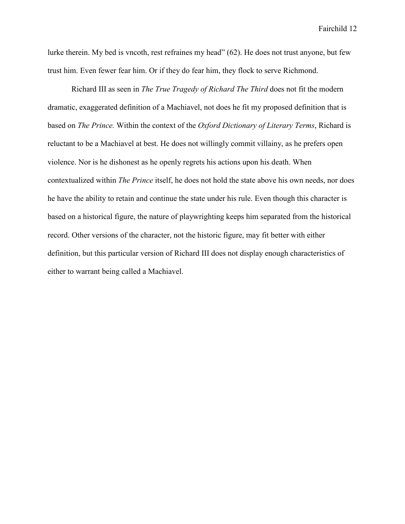lurke therein. My bed is vncoth, rest refraines my head" (62). He does not trust anyone, but few trust him. Even fewer fear him. Or if they do fear him, they flock to serve Richmond.

Richard III as seen in *The True Tragedy of Richard The Third* does not fit the modern dramatic, exaggerated definition of a Machiavel, not does he fit my proposed definition that is based on *The Prince.* Within the context of the *Oxford Dictionary of Literary Terms*, Richard is reluctant to be a Machiavel at best. He does not willingly commit villainy, as he prefers open violence. Nor is he dishonest as he openly regrets his actions upon his death. When contextualized within *The Prince* itself, he does not hold the state above his own needs, nor does he have the ability to retain and continue the state under his rule. Even though this character is based on a historical figure, the nature of playwrighting keeps him separated from the historical record. Other versions of the character, not the historic figure, may fit better with either definition, but this particular version of Richard III does not display enough characteristics of either to warrant being called a Machiavel.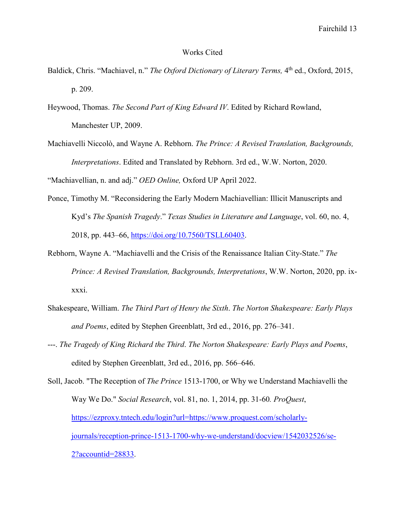#### Works Cited

- Baldick, Chris. "Machiavel, n." *The Oxford Dictionary of Literary Terms*, 4<sup>th</sup> ed., Oxford, 2015, p. 209.
- Heywood, Thomas. *The Second Part of King Edward IV*. Edited by Richard Rowland, Manchester UP, 2009.
- Machiavelli Niccolò, and Wayne A. Rebhorn. *The Prince: A Revised Translation, Backgrounds, Interpretations*. Edited and Translated by Rebhorn. 3rd ed., W.W. Norton, 2020.

"Machiavellian, n. and adj." *OED Online,* Oxford UP April 2022.

- Ponce, Timothy M. "Reconsidering the Early Modern Machiavellian: Illicit Manuscripts and Kyd's *The Spanish Tragedy*." *Texas Studies in Literature and Language*, vol. 60, no. 4, 2018, pp. 443–66, [https://doi.org/10.7560/TSLL60403.](https://doi.org/10.7560/TSLL60403)
- Rebhorn, Wayne A. "Machiavelli and the Crisis of the Renaissance Italian City-State." *The Prince: A Revised Translation, Backgrounds, Interpretations*, W.W. Norton, 2020, pp. ixxxxi.
- Shakespeare, William. *The Third Part of Henry the Sixth*. *The Norton Shakespeare: Early Plays and Poems*, edited by Stephen Greenblatt, 3rd ed., 2016, pp. 276–341.
- ---. *The Tragedy of King Richard the Third*. *The Norton Shakespeare: Early Plays and Poems*, edited by Stephen Greenblatt, 3rd ed., 2016, pp. 566–646.

Soll, Jacob. "The Reception of *The Prince* 1513-1700, or Why we Understand Machiavelli the Way We Do." *Social Research*, vol. 81, no. 1, 2014, pp. 31-60*. ProQuest*, [https://ezproxy.tntech.edu/login?url=https://www.proquest.com/scholarly](https://ezproxy.tntech.edu/login?url=https://www.proquest.com/scholarly-journals/reception-prince-1513-1700-why-we-understand/docview/1542032526/se-2?accountid=28833)[journals/reception-prince-1513-1700-why-we-understand/docview/1542032526/se-](https://ezproxy.tntech.edu/login?url=https://www.proquest.com/scholarly-journals/reception-prince-1513-1700-why-we-understand/docview/1542032526/se-2?accountid=28833)[2?accountid=28833.](https://ezproxy.tntech.edu/login?url=https://www.proquest.com/scholarly-journals/reception-prince-1513-1700-why-we-understand/docview/1542032526/se-2?accountid=28833)